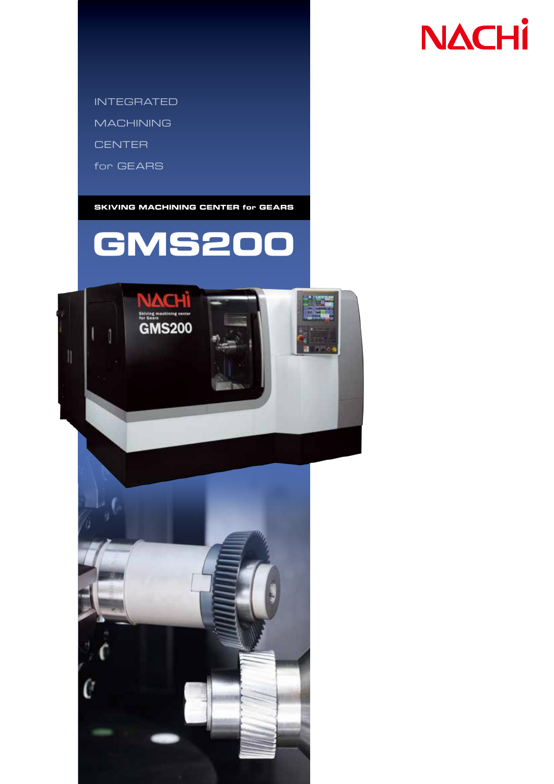# **NACHI**

INTEGRATED

**MACHINING** 

**CENTER** 

for GEARS

**SKIVING MACHINING CENTER for GEARS**





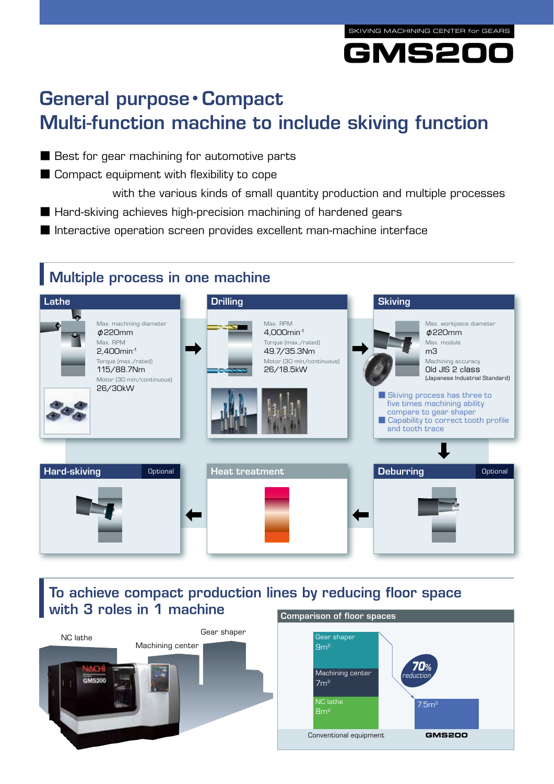



## General purpose**・**Compact Multi-function machine to include skiving function

- Best for gear machining for automotive parts
- Compact equipment with flexibility to cope
- with the various kinds of small quantity production and multiple processes ■ Hard-skiving achieves high-precision machining of hardened gears
- Interactive operation screen provides excellent man-machine interface

## Multiple process in one machine



## To achieve compact production lines by reducing floor space with 3 roles in 1 machine



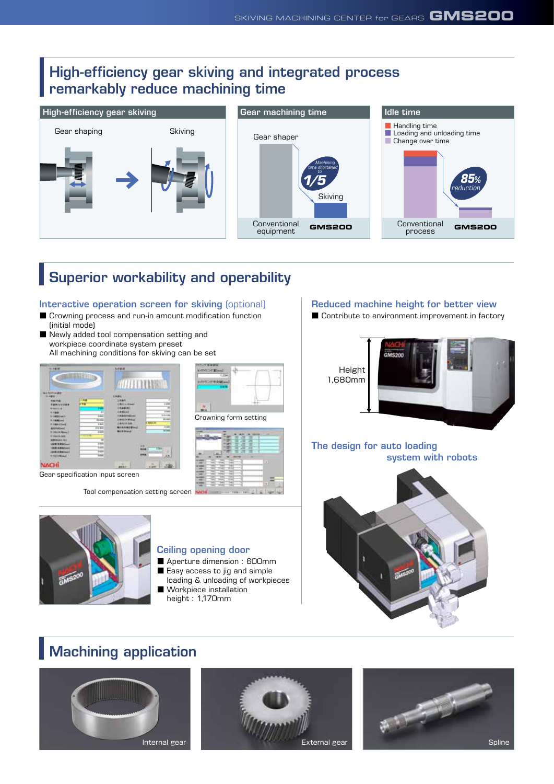### High-efficiency gear skiving and integrated process remarkably reduce machining time



## Superior workability and operability

#### Interactive operation screen for skiving (optional)

- Crowning process and run-in amount modification function (initial mode)
- Newly added tool compensation setting and workpiece coordinate system preset All machining conditions for skiving can be set



Gear specification input screen

Tool compensation setting screen



#### Ceiling opening door

- Aperture dimension : 600mm
- Easy access to jig and simple
- loading & unloading of workpieces

Crowning form setting

- Workpiece installation
- height : 1,170mm

#### Reduced machine height for better view

■ Contribute to environment improvement in factory



#### The design for auto loading system with robots



## Machining application